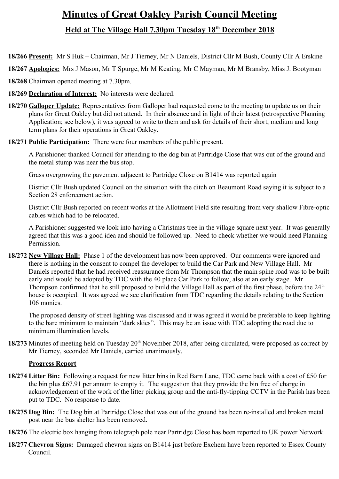# **Minutes of Great Oakley Parish Council Meeting Held at The Village Hall 7.30pm Tuesday 18th December 2018**

- **18/266 Present:** Mr S Huk Chairman, Mr J Tierney, Mr N Daniels, District Cllr M Bush, County Cllr A Erskine
- **18/267 Apologies:** Mrs J Mason, Mr T Spurge, Mr M Keating, Mr C Mayman, Mr M Bransby, Miss J. Bootyman
- **18/268** Chairman opened meeting at 7.30pm.
- **18/269 Declaration of Interest:** No interests were declared.
- **18/270 Galloper Update:** Representatives from Galloper had requested come to the meeting to update us on their plans for Great Oakley but did not attend. In their absence and in light of their latest (retrospective Planning Application; see below), it was agreed to write to them and ask for details of their short, medium and long term plans for their operations in Great Oakley.
- **18/271 Public Participation:** There were four members of the public present.

A Parishioner thanked Council for attending to the dog bin at Partridge Close that was out of the ground and the metal stump was near the bus stop.

Grass overgrowing the pavement adjacent to Partridge Close on B1414 was reported again

District Cllr Bush updated Council on the situation with the ditch on Beaumont Road saying it is subject to a Section 28 enforcement action.

District Cllr Bush reported on recent works at the Allotment Field site resulting from very shallow Fibre-optic cables which had to be relocated.

A Parishioner suggested we look into having a Christmas tree in the village square next year. It was generally agreed that this was a good idea and should be followed up. Need to check whether we would need Planning Permission.

**18/272 New Village Hall:** Phase 1 of the development has now been approved. Our comments were ignored and there is nothing in the consent to compel the developer to build the Car Park and New Village Hall. Mr Daniels reported that he had received reassurance from Mr Thompson that the main spine road was to be built early and would be adopted by TDC with the 40 place Car Park to follow, also at an early stage. Mr Thompson confirmed that he still proposed to build the Village Hall as part of the first phase, before the 24<sup>th</sup> house is occupied. It was agreed we see clarification from TDC regarding the details relating to the Section 106 monies.

The proposed density of street lighting was discussed and it was agreed it would be preferable to keep lighting to the bare minimum to maintain "dark skies". This may be an issue with TDC adopting the road due to minimum illumination levels.

18/273 Minutes of meeting held on Tuesday 20<sup>th</sup> November 2018, after being circulated, were proposed as correct by Mr Tierney, seconded Mr Daniels, carried unanimously.

### **Progress Report**

- **18/274 Litter Bin:** Following a request for new litter bins in Red Barn Lane, TDC came back with a cost of £50 for the bin plus £67.91 per annum to empty it. The suggestion that they provide the bin free of charge in acknowledgement of the work of the litter picking group and the anti-fly-tipping CCTV in the Parish has been put to TDC. No response to date.
- **18/275 Dog Bin:** The Dog bin at Partridge Close that was out of the ground has been re-installed and broken metal post near the bus shelter has been removed.
- **18/276** The electric box hanging from telegraph pole near Partridge Close has been reported to UK power Network.
- **18/277 Chevron Signs:** Damaged chevron signs on B1414 just before Exchem have been reported to Essex County Council.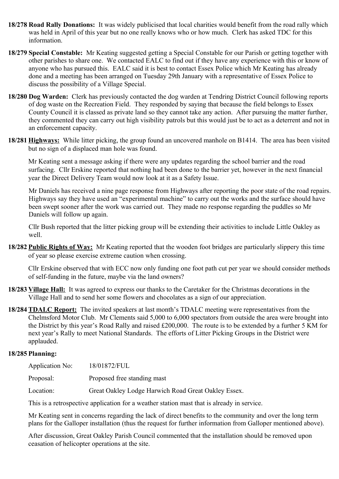- **18/278 Road Rally Donations:** It was widely publicised that local charities would benefit from the road rally which was held in April of this year but no one really knows who or how much. Clerk has asked TDC for this information.
- **18/279 Special Constable:** Mr Keating suggested getting a Special Constable for our Parish or getting together with other parishes to share one. We contacted EALC to find out if they have any experience with this or know of anyone who has pursued this. EALC said it is best to contact Essex Police which Mr Keating has already done and a meeting has been arranged on Tuesday 29th January with a representative of Essex Police to discuss the possibility of a Village Special.
- **18/280 Dog Warden:** Clerk has previously contacted the dog warden at Tendring District Council following reports of dog waste on the Recreation Field. They responded by saying that because the field belongs to Essex County Council it is classed as private land so they cannot take any action. After pursuing the matter further, they commented they can carry out high visibility patrols but this would just be to act as a deterrent and not in an enforcement capacity.
- **18/281 Highways:** While litter picking, the group found an uncovered manhole on B1414. The area has been visited but no sign of a displaced man hole was found.

Mr Keating sent a message asking if there were any updates regarding the school barrier and the road surfacing. Cllr Erskine reported that nothing had been done to the barrier yet, however in the next financial year the Direct Delivery Team would now look at it as a Safety Issue.

Mr Daniels has received a nine page response from Highways after reporting the poor state of the road repairs. Highways say they have used an "experimental machine" to carry out the works and the surface should have been swept sooner after the work was carried out. They made no response regarding the puddles so Mr Daniels will follow up again.

Cllr Bush reported that the litter picking group will be extending their activities to include Little Oakley as well.

**18/282 Public Rights of Way:** Mr Keating reported that the wooden foot bridges are particularly slippery this time of year so please exercise extreme caution when crossing.

Cllr Erskine observed that with ECC now only funding one foot path cut per year we should consider methods of self-funding in the future, maybe via the land owners?

- **18/283 Village Hall:** It was agreed to express our thanks to the Caretaker for the Christmas decorations in the Village Hall and to send her some flowers and chocolates as a sign of our appreciation.
- **18/284 TDALC Report:** The invited speakers at last month's TDALC meeting were representatives from the Chelmsford Motor Club. Mr Clements said 5,000 to 6,000 spectators from outside the area were brought into the District by this year's Road Rally and raised £200,000. The route is to be extended by a further 5 KM for next year's Rally to meet National Standards. The efforts of Litter Picking Groups in the District were applauded.

#### **18/285 Planning:**

| Application No: | 18/01872/FUL                                        |
|-----------------|-----------------------------------------------------|
| Proposal:       | Proposed free standing mast                         |
| Location:       | Great Oakley Lodge Harwich Road Great Oakley Essex. |

This is a retrospective application for a weather station mast that is already in service.

Mr Keating sent in concerns regarding the lack of direct benefits to the community and over the long term plans for the Galloper installation (thus the request for further information from Galloper mentioned above).

After discussion, Great Oakley Parish Council commented that the installation should be removed upon ceasation of helicopter operations at the site.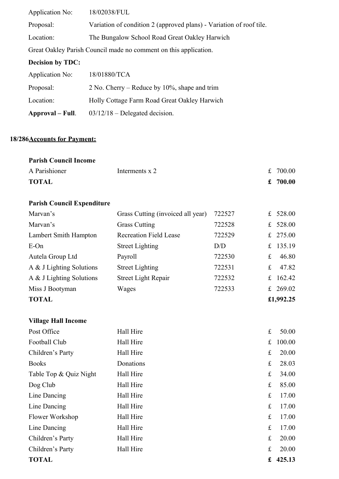| Application No:                                                  | 18/02038/FUL                                                        |  |  |
|------------------------------------------------------------------|---------------------------------------------------------------------|--|--|
| Proposal:                                                        | Variation of condition 2 (approved plans) - Variation of roof tile. |  |  |
| Location:                                                        | The Bungalow School Road Great Oakley Harwich                       |  |  |
| Great Oakley Parish Council made no comment on this application. |                                                                     |  |  |
| <b>Decision by TDC:</b>                                          |                                                                     |  |  |
| Application No:                                                  | 18/01880/TCA                                                        |  |  |
| Proposal:                                                        | 2 No. Cherry – Reduce by $10\%$ , shape and trim                    |  |  |
| Location:                                                        | Holly Cottage Farm Road Great Oakley Harwich                        |  |  |
| Approval – Full.                                                 | $03/12/18$ – Delegated decision.                                    |  |  |

## **18/286Accounts for Payment:**

| <b>Parish Council Income</b> |                |            |
|------------------------------|----------------|------------|
| A Parishioner                | Interments x 2 | £ 700.00   |
| <b>TOTAL</b>                 |                | £ $700.00$ |

## **Parish Council Expenditure**

**Village Hall Income**

| Marvan's                 | Grass Cutting (invoiced all year) | 722527 |   | £ $528.00$ |
|--------------------------|-----------------------------------|--------|---|------------|
| Marvan's                 | <b>Grass Cutting</b>              | 722528 |   | £ 528.00   |
| Lambert Smith Hampton    | <b>Recreation Field Lease</b>     | 722529 |   | £ $275.00$ |
| $E$ -On                  | <b>Street Lighting</b>            | D/D    |   | £ 135.19   |
| Autela Group Ltd         | Payroll                           | 722530 | £ | 46.80      |
| A & J Lighting Solutions | <b>Street Lighting</b>            | 722531 | £ | 47.82      |
| A & J Lighting Solutions | <b>Street Light Repair</b>        | 722532 |   | £ 162.42   |
| Miss J Bootyman          | Wages                             | 722533 |   | £ 269.02   |
| <b>TOTAL</b>             |                                   |        |   | £1,992.25  |

| <b>TOTAL</b>           |           | £           | 425.13 |
|------------------------|-----------|-------------|--------|
| Children's Party       | Hall Hire | $f_{\rm L}$ | 20.00  |
| Children's Party       | Hall Hire | $f_{\rm L}$ | 20.00  |
| Line Dancing           | Hall Hire | £           | 17.00  |
| Flower Workshop        | Hall Hire | $\pounds$   | 17.00  |
| Line Dancing           | Hall Hire | $f_{\rm L}$ | 17.00  |
| Line Dancing           | Hall Hire | £           | 17.00  |
| Dog Club               | Hall Hire | $f_{\rm L}$ | 85.00  |
| Table Top & Quiz Night | Hall Hire | £           | 34.00  |
| <b>Books</b>           | Donations | £           | 28.03  |
| Children's Party       | Hall Hire | £           | 20.00  |
| Football Club          | Hall Hire | £           | 100.00 |
| Post Office            | Hall Hire | £           | 50.00  |
|                        |           |             |        |